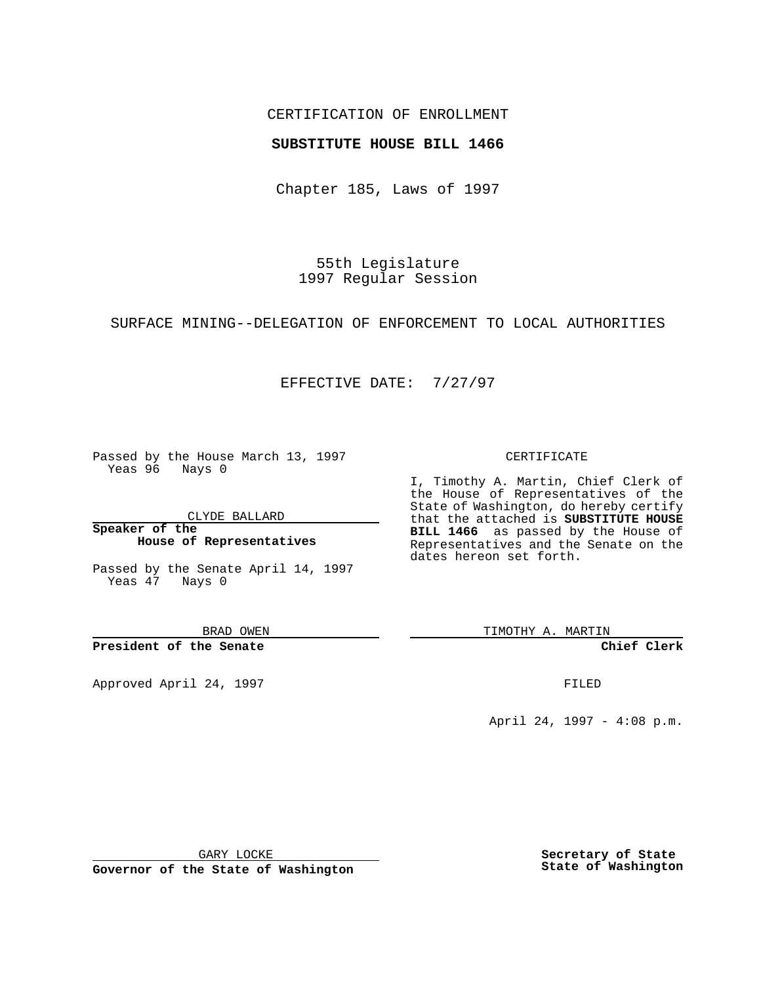## CERTIFICATION OF ENROLLMENT

## **SUBSTITUTE HOUSE BILL 1466**

Chapter 185, Laws of 1997

55th Legislature 1997 Regular Session

SURFACE MINING--DELEGATION OF ENFORCEMENT TO LOCAL AUTHORITIES

## EFFECTIVE DATE: 7/27/97

Passed by the House March 13, 1997 Yeas 96 Nays 0

CLYDE BALLARD

**Speaker of the House of Representatives**

Passed by the Senate April 14, 1997 Yeas 47 Nays 0

BRAD OWEN

**President of the Senate**

Approved April 24, 1997 **FILED** 

### CERTIFICATE

I, Timothy A. Martin, Chief Clerk of the House of Representatives of the State of Washington, do hereby certify that the attached is **SUBSTITUTE HOUSE BILL 1466** as passed by the House of Representatives and the Senate on the dates hereon set forth.

TIMOTHY A. MARTIN

**Chief Clerk**

April 24, 1997 - 4:08 p.m.

GARY LOCKE

**Governor of the State of Washington**

**Secretary of State State of Washington**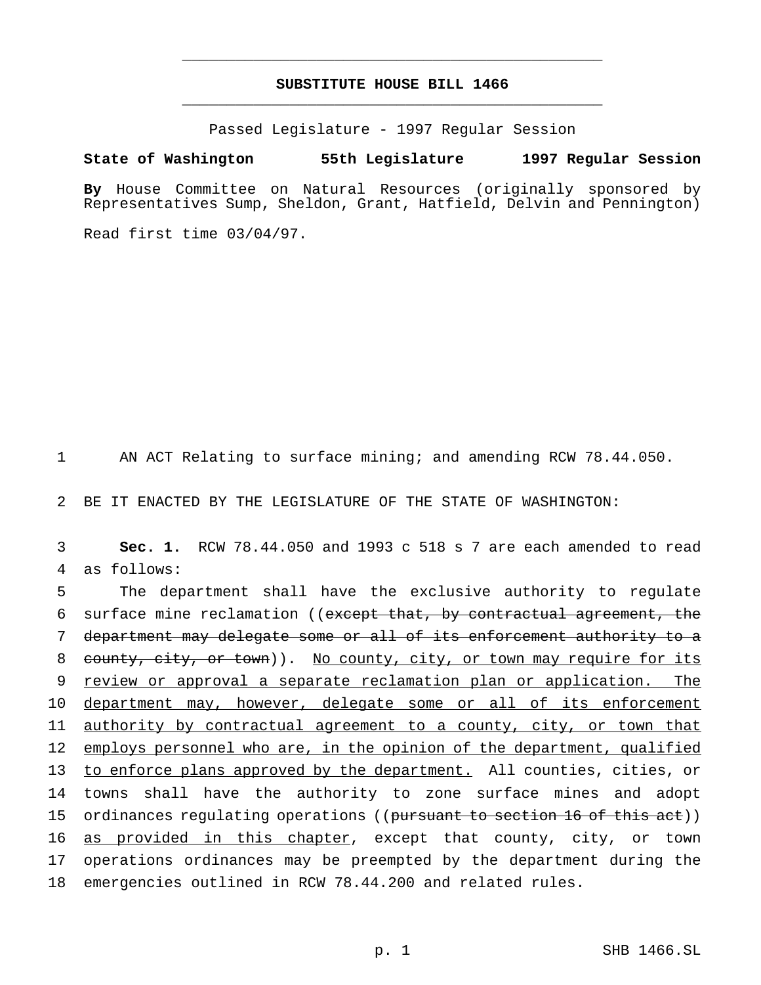# **SUBSTITUTE HOUSE BILL 1466** \_\_\_\_\_\_\_\_\_\_\_\_\_\_\_\_\_\_\_\_\_\_\_\_\_\_\_\_\_\_\_\_\_\_\_\_\_\_\_\_\_\_\_\_\_\_\_

\_\_\_\_\_\_\_\_\_\_\_\_\_\_\_\_\_\_\_\_\_\_\_\_\_\_\_\_\_\_\_\_\_\_\_\_\_\_\_\_\_\_\_\_\_\_\_

Passed Legislature - 1997 Regular Session

#### **State of Washington 55th Legislature 1997 Regular Session**

**By** House Committee on Natural Resources (originally sponsored by Representatives Sump, Sheldon, Grant, Hatfield, Delvin and Pennington)

Read first time 03/04/97.

1 AN ACT Relating to surface mining; and amending RCW 78.44.050.

2 BE IT ENACTED BY THE LEGISLATURE OF THE STATE OF WASHINGTON:

3 **Sec. 1.** RCW 78.44.050 and 1993 c 518 s 7 are each amended to read 4 as follows:

5 The department shall have the exclusive authority to regulate 6 surface mine reclamation ((except that, by contractual agreement, the 7 department may delegate some or all of its enforcement authority to a 8 county, city, or town)). No county, city, or town may require for its 9 review or approval a separate reclamation plan or application. The 10 department may, however, delegate some or all of its enforcement 11 authority by contractual agreement to a county, city, or town that 12 employs personnel who are, in the opinion of the department, qualified 13 to enforce plans approved by the department. All counties, cities, or 14 towns shall have the authority to zone surface mines and adopt 15 ordinances regulating operations ((pursuant to section 16 of this act)) 16 as provided in this chapter, except that county, city, or town 17 operations ordinances may be preempted by the department during the 18 emergencies outlined in RCW 78.44.200 and related rules.